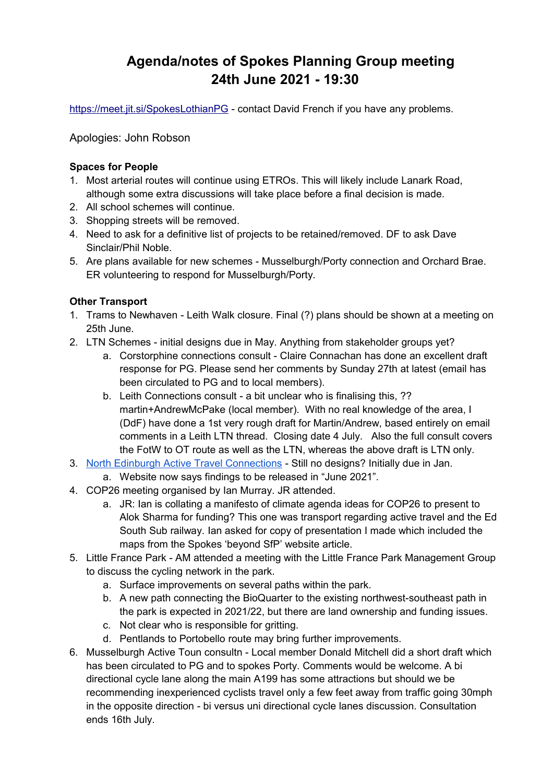# **Agenda/notes of Spokes Planning Group meeting 24th June 2021 - 19:30**

<https://meet.jit.si/SpokesLothianPG>- contact David French if you have any problems.

Apologies: John Robson

## **Spaces for People**

- 1. Most arterial routes will continue using ETROs. This will likely include Lanark Road, although some extra discussions will take place before a final decision is made.
- 2. All school schemes will continue.
- 3. Shopping streets will be removed.
- 4. Need to ask for a definitive list of projects to be retained/removed. DF to ask Dave Sinclair/Phil Noble.
- 5. Are plans available for new schemes Musselburgh/Porty connection and Orchard Brae. ER volunteering to respond for Musselburgh/Porty.

## **Other Transport**

- 1. Trams to Newhaven Leith Walk closure. Final (?) plans should be shown at a meeting on 25th June.
- 2. LTN Schemes initial designs due in May. Anything from stakeholder groups yet?
	- a. Corstorphine connections consult Claire Connachan has done an excellent draft response for PG. Please send her comments by Sunday 27th at latest (email has been circulated to PG and to local members).
	- b. Leith Connections consult a bit unclear who is finalising this, ?? martin+AndrewMcPake (local member). With no real knowledge of the area, I (DdF) have done a 1st very rough draft for Martin/Andrew, based entirely on email comments in a Leith LTN thread. Closing date 4 July. Also the full consult covers the FotW to OT route as well as the LTN, whereas the above draft is LTN only.
- 3. [North Edinburgh Active Travel Connections](https://neatconnections.commonplace.is/about)  Still no designs? Initially due in Jan.
	- a. Website now says findings to be released in "June 2021".
- 4. COP26 meeting organised by Ian Murray. JR attended.
	- a. JR: Ian is collating a manifesto of climate agenda ideas for COP26 to present to Alok Sharma for funding? This one was transport regarding active travel and the Ed South Sub railway. Ian asked for copy of presentation I made which included the maps from the Spokes 'beyond SfP' website article.
- 5. Little France Park AM attended a meeting with the Little France Park Management Group to discuss the cycling network in the park.
	- a. Surface improvements on several paths within the park.
	- b. A new path connecting the BioQuarter to the existing northwest-southeast path in the park is expected in 2021/22, but there are land ownership and funding issues.
	- c. Not clear who is responsible for gritting.
	- d. Pentlands to Portobello route may bring further improvements.
- 6. Musselburgh Active Toun consultn Local member Donald Mitchell did a short draft which has been circulated to PG and to spokes Porty. Comments would be welcome. A bi directional cycle lane along the main A199 has some attractions but should we be recommending inexperienced cyclists travel only a few feet away from traffic going 30mph in the opposite direction - bi versus uni directional cycle lanes discussion. Consultation ends 16th July.